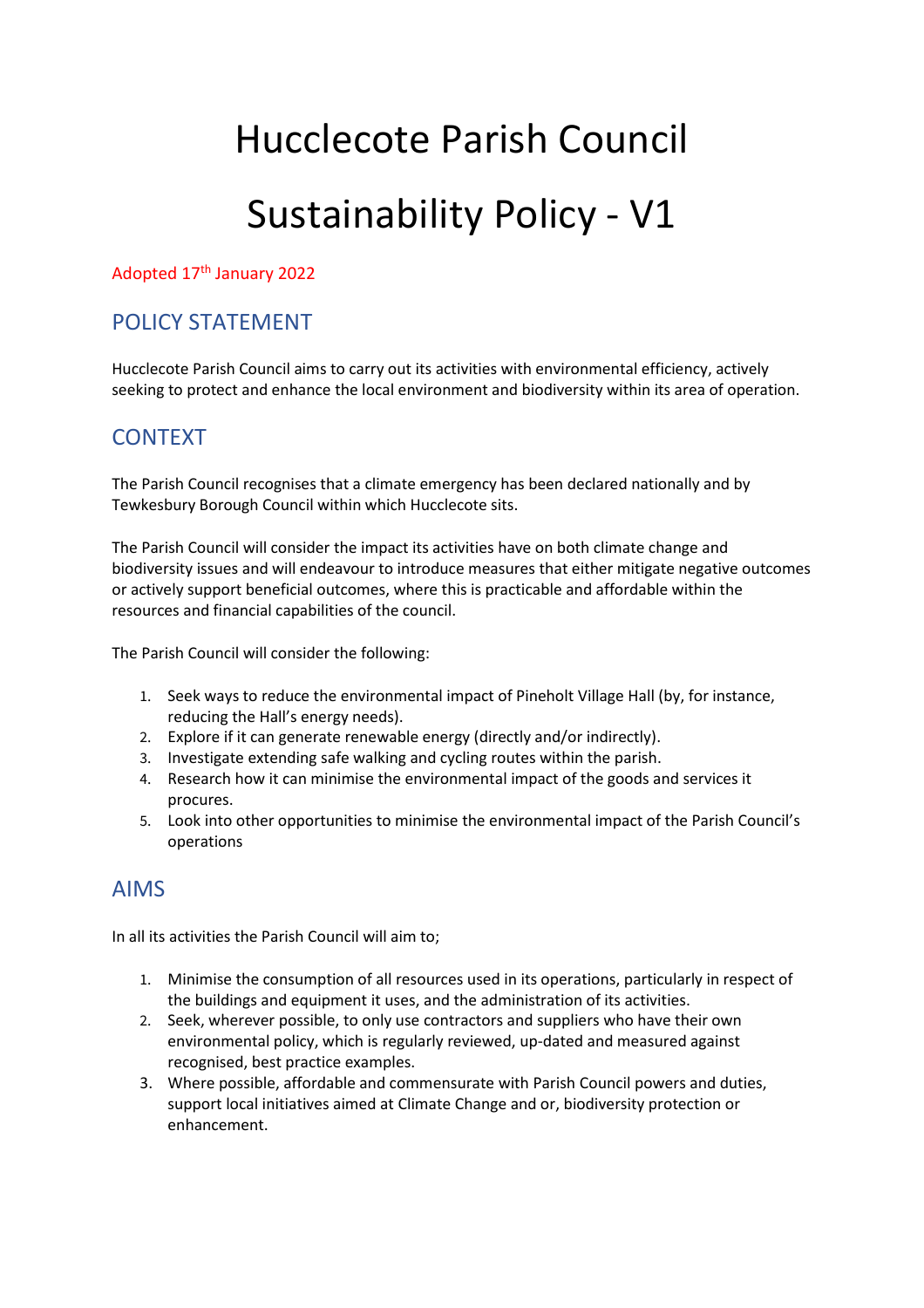# Hucclecote Parish Council Sustainability Policy - V1

#### Adopted 17th January 2022

### POLICY STATEMENT

Hucclecote Parish Council aims to carry out its activities with environmental efficiency, actively seeking to protect and enhance the local environment and biodiversity within its area of operation.

### **CONTEXT**

The Parish Council recognises that a climate emergency has been declared nationally and by Tewkesbury Borough Council within which Hucclecote sits.

The Parish Council will consider the impact its activities have on both climate change and biodiversity issues and will endeavour to introduce measures that either mitigate negative outcomes or actively support beneficial outcomes, where this is practicable and affordable within the resources and financial capabilities of the council.

The Parish Council will consider the following:

- 1. Seek ways to reduce the environmental impact of Pineholt Village Hall (by, for instance, reducing the Hall's energy needs).
- 2. Explore if it can generate renewable energy (directly and/or indirectly).
- 3. Investigate extending safe walking and cycling routes within the parish.
- 4. Research how it can minimise the environmental impact of the goods and services it procures.
- 5. Look into other opportunities to minimise the environmental impact of the Parish Council's operations

#### AIMS

In all its activities the Parish Council will aim to;

- 1. Minimise the consumption of all resources used in its operations, particularly in respect of the buildings and equipment it uses, and the administration of its activities.
- 2. Seek, wherever possible, to only use contractors and suppliers who have their own environmental policy, which is regularly reviewed, up-dated and measured against recognised, best practice examples.
- 3. Where possible, affordable and commensurate with Parish Council powers and duties, support local initiatives aimed at Climate Change and or, biodiversity protection or enhancement.